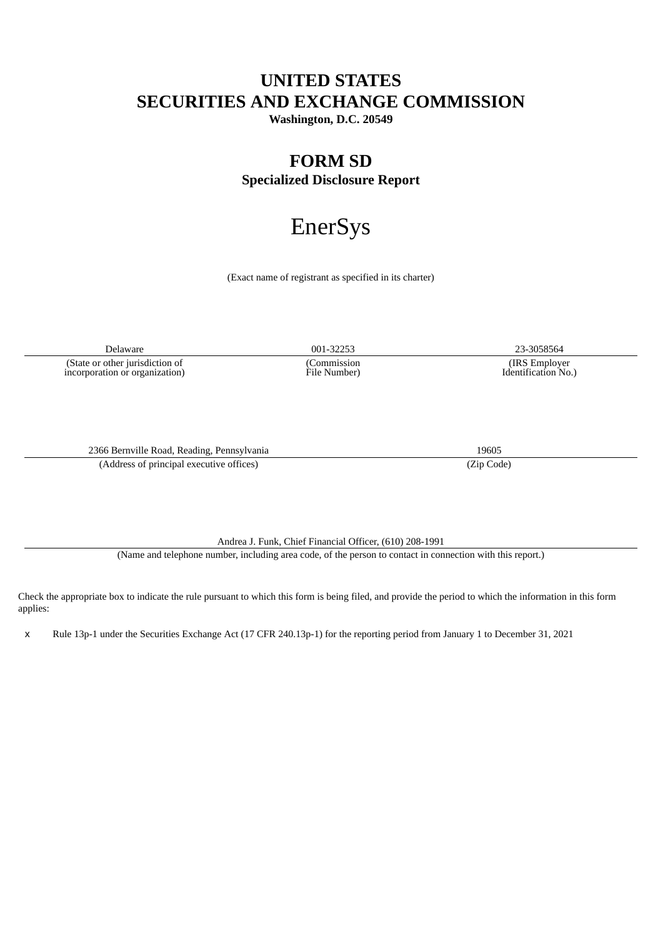# **UNITED STATES SECURITIES AND EXCHANGE COMMISSION**

**Washington, D.C. 20549**

# **FORM SD Specialized Disclosure Report**

# EnerSys

(Exact name of registrant as specified in its charter)

Delaware 001-32253 23-3058564 (State or other jurisdiction of

incorporation or organization)

2366 Bernville Road, Reading, Pennsylvania 19605 (Address of principal executive offices) (Zip Code)

(Commission File Number)

(IRS Employer Identification No.)

Andrea J. Funk, Chief Financial Officer, (610) 208-1991

(Name and telephone number, including area code, of the person to contact in connection with this report.)

Check the appropriate box to indicate the rule pursuant to which this form is being filed, and provide the period to which the information in this form applies:

x Rule 13p-1 under the Securities Exchange Act (17 CFR 240.13p-1) for the reporting period from January 1 to December 31, 2021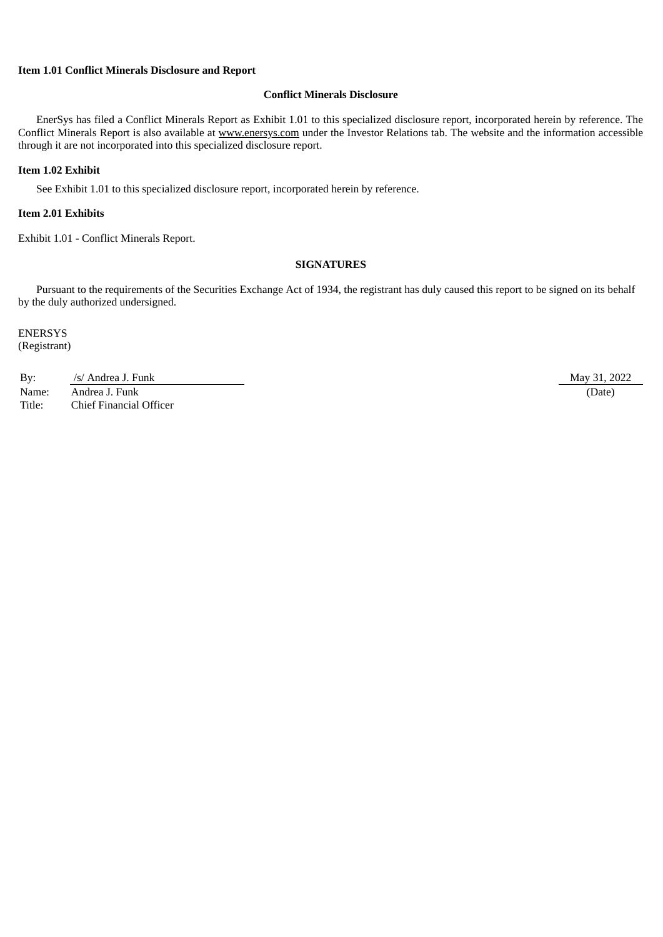# **Item 1.01 Conflict Minerals Disclosure and Report**

# **Conflict Minerals Disclosure**

EnerSys has filed a Conflict Minerals Report as Exhibit 1.01 to this specialized disclosure report, incorporated herein by reference. The Conflict Minerals Report is also available at www.enersys.com under the Investor Relations tab. The website and the information accessible through it are not incorporated into this specialized disclosure report.

#### **Item 1.02 Exhibit**

See Exhibit 1.01 to this specialized disclosure report, incorporated herein by reference.

# **Item 2.01 Exhibits**

Exhibit 1.01 - Conflict Minerals Report.

## **SIGNATURES**

Pursuant to the requirements of the Securities Exchange Act of 1934, the registrant has duly caused this report to be signed on its behalf by the duly authorized undersigned.

ENERSYS (Registrant)

By: Andrea J. Funk May 31, 2022 Name: Andrea J. Funk (Date) (2016) Title: Chief Financial Officer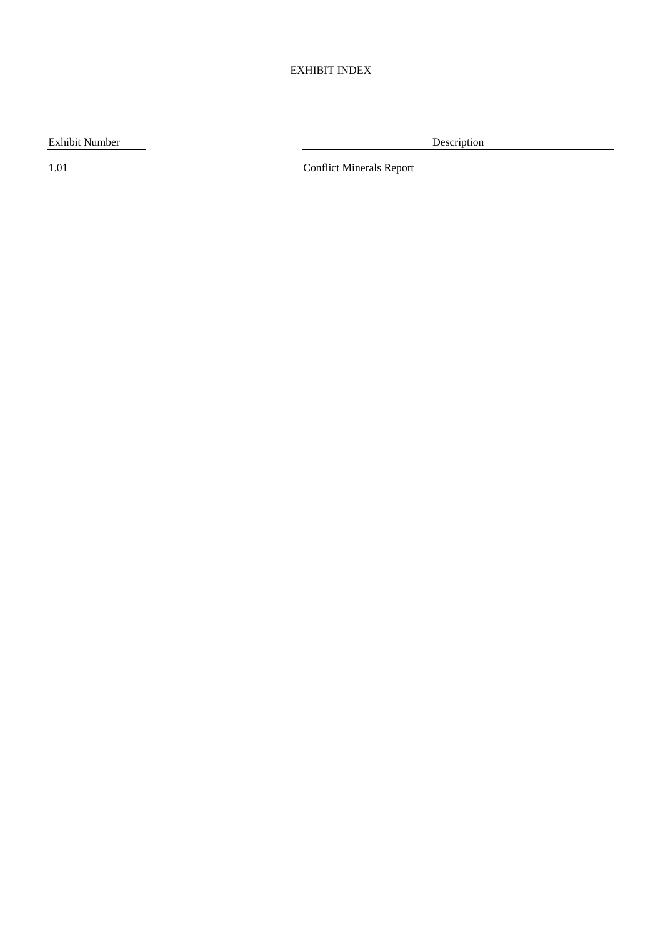# EXHIBIT INDEX

Exhibit Number Description

1.01 Conflict Minerals Report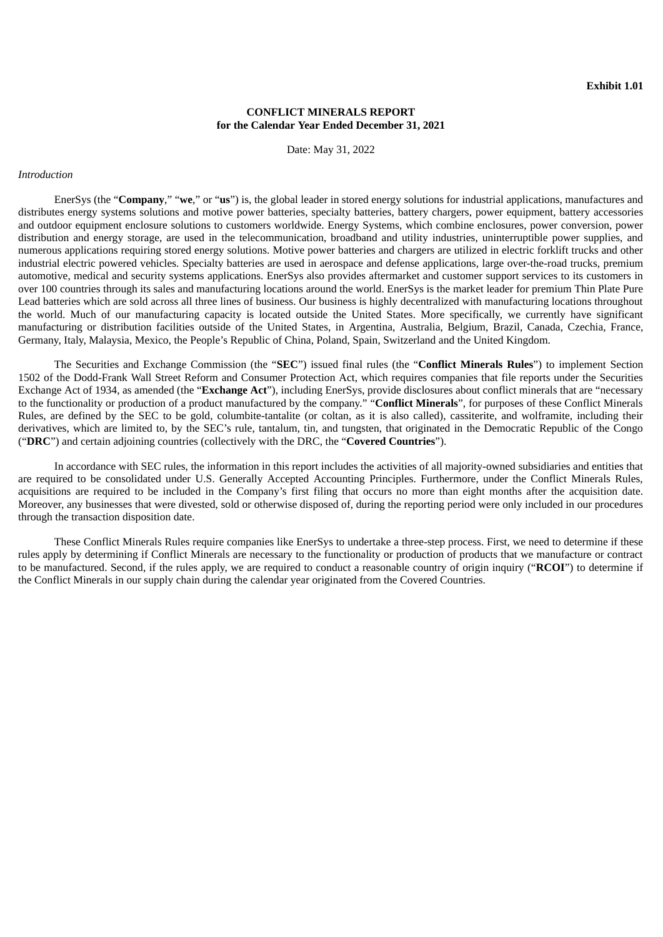#### **CONFLICT MINERALS REPORT for the Calendar Year Ended December 31, 2021**

Date: May 31, 2022

#### *Introduction*

EnerSys (the "**Company**," "**we**," or "**us**") is, the global leader in stored energy solutions for industrial applications, manufactures and distributes energy systems solutions and motive power batteries, specialty batteries, battery chargers, power equipment, battery accessories and outdoor equipment enclosure solutions to customers worldwide. Energy Systems, which combine enclosures, power conversion, power distribution and energy storage, are used in the telecommunication, broadband and utility industries, uninterruptible power supplies, and numerous applications requiring stored energy solutions. Motive power batteries and chargers are utilized in electric forklift trucks and other industrial electric powered vehicles. Specialty batteries are used in aerospace and defense applications, large over-the-road trucks, premium automotive, medical and security systems applications. EnerSys also provides aftermarket and customer support services to its customers in over 100 countries through its sales and manufacturing locations around the world. EnerSys is the market leader for premium Thin Plate Pure Lead batteries which are sold across all three lines of business. Our business is highly decentralized with manufacturing locations throughout the world. Much of our manufacturing capacity is located outside the United States. More specifically, we currently have significant manufacturing or distribution facilities outside of the United States, in Argentina, Australia, Belgium, Brazil, Canada, Czechia, France, Germany, Italy, Malaysia, Mexico, the People's Republic of China, Poland, Spain, Switzerland and the United Kingdom.

The Securities and Exchange Commission (the "**SEC**") issued final rules (the "**Conflict Minerals Rules**") to implement Section 1502 of the Dodd-Frank Wall Street Reform and Consumer Protection Act, which requires companies that file reports under the Securities Exchange Act of 1934, as amended (the "**Exchange Act**"), including EnerSys, provide disclosures about conflict minerals that are "necessary to the functionality or production of a product manufactured by the company." "**Conflict Minerals**", for purposes of these Conflict Minerals Rules, are defined by the SEC to be gold, columbite-tantalite (or coltan, as it is also called), cassiterite, and wolframite, including their derivatives, which are limited to, by the SEC's rule, tantalum, tin, and tungsten, that originated in the Democratic Republic of the Congo ("**DRC**") and certain adjoining countries (collectively with the DRC, the "**Covered Countries**").

In accordance with SEC rules, the information in this report includes the activities of all majority-owned subsidiaries and entities that are required to be consolidated under U.S. Generally Accepted Accounting Principles. Furthermore, under the Conflict Minerals Rules, acquisitions are required to be included in the Company's first filing that occurs no more than eight months after the acquisition date. Moreover, any businesses that were divested, sold or otherwise disposed of, during the reporting period were only included in our procedures through the transaction disposition date.

These Conflict Minerals Rules require companies like EnerSys to undertake a three-step process. First, we need to determine if these rules apply by determining if Conflict Minerals are necessary to the functionality or production of products that we manufacture or contract to be manufactured. Second, if the rules apply, we are required to conduct a reasonable country of origin inquiry ("**RCOI**") to determine if the Conflict Minerals in our supply chain during the calendar year originated from the Covered Countries.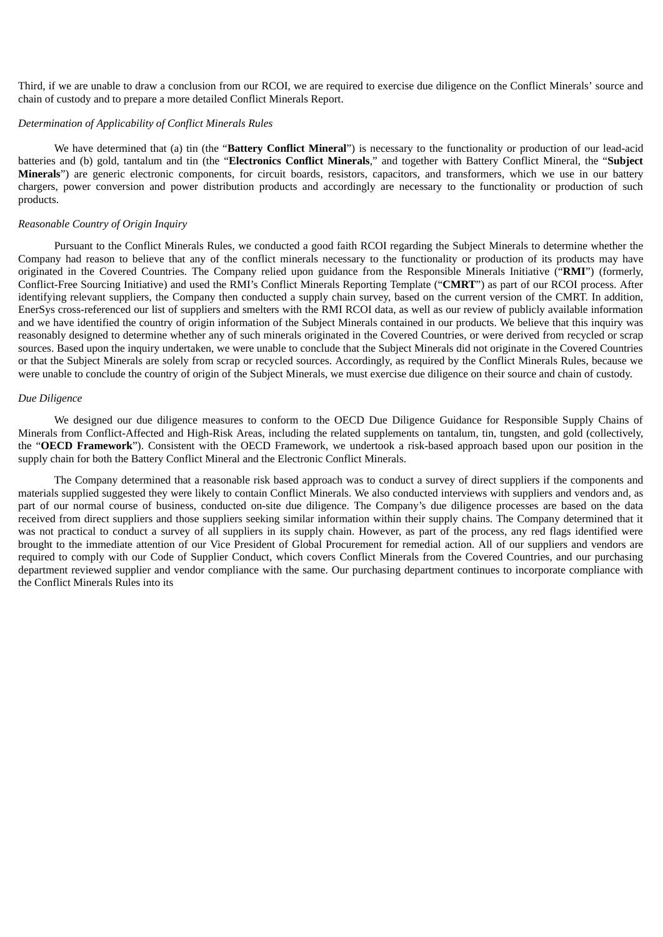Third, if we are unable to draw a conclusion from our RCOI, we are required to exercise due diligence on the Conflict Minerals' source and chain of custody and to prepare a more detailed Conflict Minerals Report.

#### *Determination of Applicability of Conflict Minerals Rules*

We have determined that (a) tin (the "**Battery Conflict Mineral**") is necessary to the functionality or production of our lead-acid batteries and (b) gold, tantalum and tin (the "**Electronics Conflict Minerals**," and together with Battery Conflict Mineral, the "**Subject Minerals**") are generic electronic components, for circuit boards, resistors, capacitors, and transformers, which we use in our battery chargers, power conversion and power distribution products and accordingly are necessary to the functionality or production of such products.

#### *Reasonable Country of Origin Inquiry*

Pursuant to the Conflict Minerals Rules, we conducted a good faith RCOI regarding the Subject Minerals to determine whether the Company had reason to believe that any of the conflict minerals necessary to the functionality or production of its products may have originated in the Covered Countries. The Company relied upon guidance from the Responsible Minerals Initiative ("**RMI**") (formerly, Conflict-Free Sourcing Initiative) and used the RMI's Conflict Minerals Reporting Template ("**CMRT**") as part of our RCOI process. After identifying relevant suppliers, the Company then conducted a supply chain survey, based on the current version of the CMRT. In addition, EnerSys cross-referenced our list of suppliers and smelters with the RMI RCOI data, as well as our review of publicly available information and we have identified the country of origin information of the Subject Minerals contained in our products. We believe that this inquiry was reasonably designed to determine whether any of such minerals originated in the Covered Countries, or were derived from recycled or scrap sources. Based upon the inquiry undertaken, we were unable to conclude that the Subject Minerals did not originate in the Covered Countries or that the Subject Minerals are solely from scrap or recycled sources. Accordingly, as required by the Conflict Minerals Rules, because we were unable to conclude the country of origin of the Subject Minerals, we must exercise due diligence on their source and chain of custody.

# *Due Diligence*

We designed our due diligence measures to conform to the OECD Due Diligence Guidance for Responsible Supply Chains of Minerals from Conflict-Affected and High-Risk Areas, including the related supplements on tantalum, tin, tungsten, and gold (collectively, the "**OECD Framework**"). Consistent with the OECD Framework, we undertook a risk-based approach based upon our position in the supply chain for both the Battery Conflict Mineral and the Electronic Conflict Minerals.

The Company determined that a reasonable risk based approach was to conduct a survey of direct suppliers if the components and materials supplied suggested they were likely to contain Conflict Minerals. We also conducted interviews with suppliers and vendors and, as part of our normal course of business, conducted on-site due diligence. The Company's due diligence processes are based on the data received from direct suppliers and those suppliers seeking similar information within their supply chains. The Company determined that it was not practical to conduct a survey of all suppliers in its supply chain. However, as part of the process, any red flags identified were brought to the immediate attention of our Vice President of Global Procurement for remedial action. All of our suppliers and vendors are required to comply with our Code of Supplier Conduct, which covers Conflict Minerals from the Covered Countries, and our purchasing department reviewed supplier and vendor compliance with the same. Our purchasing department continues to incorporate compliance with the Conflict Minerals Rules into its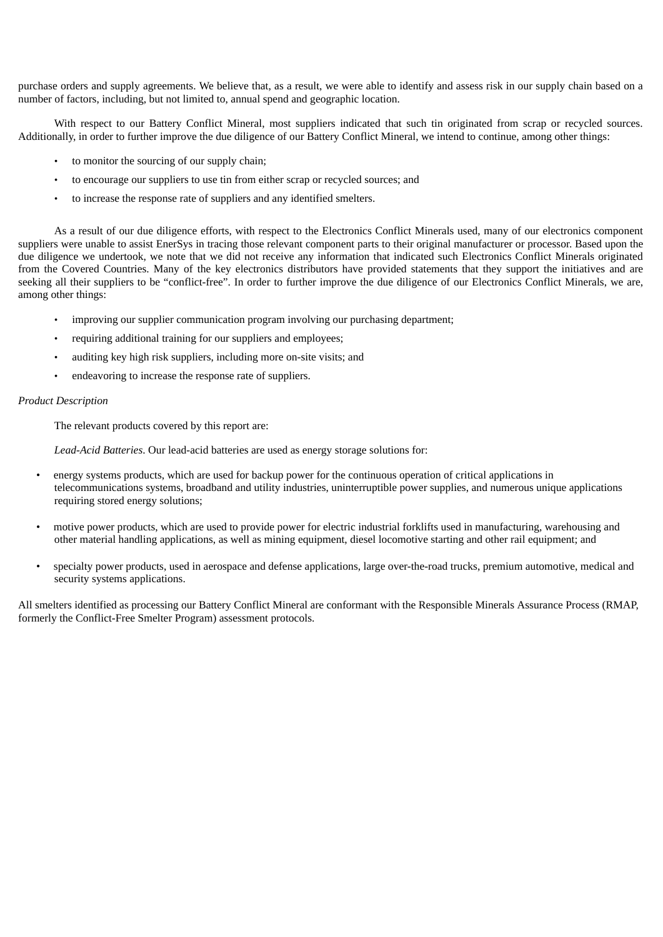purchase orders and supply agreements. We believe that, as a result, we were able to identify and assess risk in our supply chain based on a number of factors, including, but not limited to, annual spend and geographic location.

With respect to our Battery Conflict Mineral, most suppliers indicated that such tin originated from scrap or recycled sources. Additionally, in order to further improve the due diligence of our Battery Conflict Mineral, we intend to continue, among other things:

- to monitor the sourcing of our supply chain;
- to encourage our suppliers to use tin from either scrap or recycled sources; and
- to increase the response rate of suppliers and any identified smelters.

As a result of our due diligence efforts, with respect to the Electronics Conflict Minerals used, many of our electronics component suppliers were unable to assist EnerSys in tracing those relevant component parts to their original manufacturer or processor. Based upon the due diligence we undertook, we note that we did not receive any information that indicated such Electronics Conflict Minerals originated from the Covered Countries. Many of the key electronics distributors have provided statements that they support the initiatives and are seeking all their suppliers to be "conflict-free". In order to further improve the due diligence of our Electronics Conflict Minerals, we are, among other things:

- improving our supplier communication program involving our purchasing department;
- requiring additional training for our suppliers and employees;
- auditing key high risk suppliers, including more on-site visits; and
- endeavoring to increase the response rate of suppliers.

## *Product Description*

The relevant products covered by this report are:

*Lead-Acid Batteries*. Our lead-acid batteries are used as energy storage solutions for:

- energy systems products, which are used for backup power for the continuous operation of critical applications in telecommunications systems, broadband and utility industries, uninterruptible power supplies, and numerous unique applications requiring stored energy solutions;
- motive power products, which are used to provide power for electric industrial forklifts used in manufacturing, warehousing and other material handling applications, as well as mining equipment, diesel locomotive starting and other rail equipment; and
- specialty power products, used in aerospace and defense applications, large over-the-road trucks, premium automotive, medical and security systems applications.

All smelters identified as processing our Battery Conflict Mineral are conformant with the Responsible Minerals Assurance Process (RMAP, formerly the Conflict-Free Smelter Program) assessment protocols.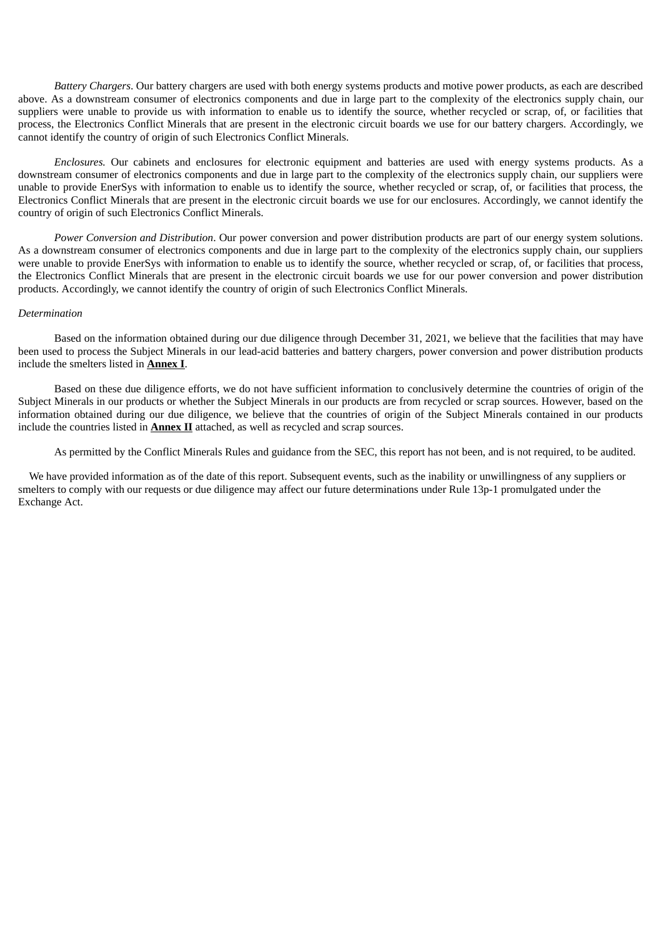*Battery Chargers*. Our battery chargers are used with both energy systems products and motive power products, as each are described above. As a downstream consumer of electronics components and due in large part to the complexity of the electronics supply chain, our suppliers were unable to provide us with information to enable us to identify the source, whether recycled or scrap, of, or facilities that process, the Electronics Conflict Minerals that are present in the electronic circuit boards we use for our battery chargers. Accordingly, we cannot identify the country of origin of such Electronics Conflict Minerals.

*Enclosures.* Our cabinets and enclosures for electronic equipment and batteries are used with energy systems products. As a downstream consumer of electronics components and due in large part to the complexity of the electronics supply chain, our suppliers were unable to provide EnerSys with information to enable us to identify the source, whether recycled or scrap, of, or facilities that process, the Electronics Conflict Minerals that are present in the electronic circuit boards we use for our enclosures. Accordingly, we cannot identify the country of origin of such Electronics Conflict Minerals.

*Power Conversion and Distribution*. Our power conversion and power distribution products are part of our energy system solutions. As a downstream consumer of electronics components and due in large part to the complexity of the electronics supply chain, our suppliers were unable to provide EnerSys with information to enable us to identify the source, whether recycled or scrap, of, or facilities that process, the Electronics Conflict Minerals that are present in the electronic circuit boards we use for our power conversion and power distribution products. Accordingly, we cannot identify the country of origin of such Electronics Conflict Minerals.

# *Determination*

Based on the information obtained during our due diligence through December 31, 2021, we believe that the facilities that may have been used to process the Subject Minerals in our lead-acid batteries and battery chargers, power conversion and power distribution products include the smelters listed in **Annex I**.

Based on these due diligence efforts, we do not have sufficient information to conclusively determine the countries of origin of the Subject Minerals in our products or whether the Subject Minerals in our products are from recycled or scrap sources. However, based on the information obtained during our due diligence, we believe that the countries of origin of the Subject Minerals contained in our products include the countries listed in **Annex II** attached, as well as recycled and scrap sources.

As permitted by the Conflict Minerals Rules and guidance from the SEC, this report has not been, and is not required, to be audited.

We have provided information as of the date of this report. Subsequent events, such as the inability or unwillingness of any suppliers or smelters to comply with our requests or due diligence may affect our future determinations under Rule 13p-1 promulgated under the Exchange Act.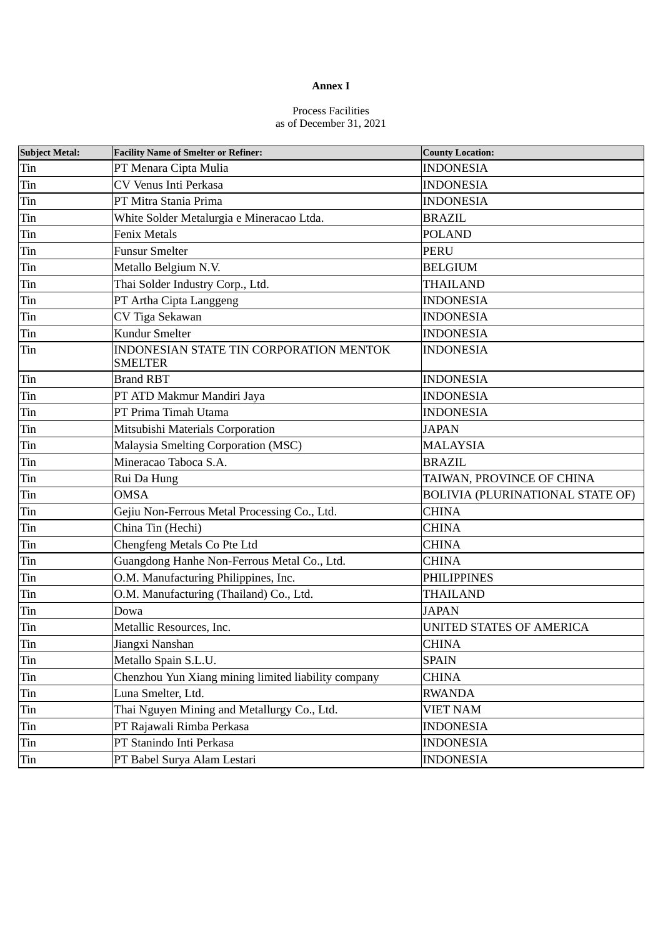# **Annex I**

# Process Facilities as of December 31, 2021

| <b>Subject Metal:</b> | <b>Facility Name of Smelter or Refiner:</b>               | <b>County Location:</b>          |
|-----------------------|-----------------------------------------------------------|----------------------------------|
| Tin                   | PT Menara Cipta Mulia                                     | <b>INDONESIA</b>                 |
| Tin                   | CV Venus Inti Perkasa                                     | <b>INDONESIA</b>                 |
| Tin                   | PT Mitra Stania Prima                                     | <b>INDONESIA</b>                 |
| Tin                   | White Solder Metalurgia e Mineracao Ltda.                 | <b>BRAZIL</b>                    |
| Tin                   | <b>Fenix Metals</b>                                       | <b>POLAND</b>                    |
| Tin                   | <b>Funsur Smelter</b>                                     | <b>PERU</b>                      |
| Tin                   | Metallo Belgium N.V.                                      | <b>BELGIUM</b>                   |
| Tin                   | Thai Solder Industry Corp., Ltd.                          | <b>THAILAND</b>                  |
| Tin                   | PT Artha Cipta Langgeng                                   | <b>INDONESIA</b>                 |
| Tin                   | CV Tiga Sekawan                                           | <b>INDONESIA</b>                 |
| Tin                   | Kundur Smelter                                            | <b>INDONESIA</b>                 |
| Tin                   | INDONESIAN STATE TIN CORPORATION MENTOK<br><b>SMELTER</b> | <b>INDONESIA</b>                 |
| Tin                   | <b>Brand RBT</b>                                          | <b>INDONESIA</b>                 |
| Tin                   | PT ATD Makmur Mandiri Jaya                                | <b>INDONESIA</b>                 |
| Tin                   | PT Prima Timah Utama                                      | <b>INDONESIA</b>                 |
| Tin                   | Mitsubishi Materials Corporation                          | <b>JAPAN</b>                     |
| Tin                   | Malaysia Smelting Corporation (MSC)                       | <b>MALAYSIA</b>                  |
| Tin                   | Mineracao Taboca S.A.                                     | <b>BRAZIL</b>                    |
| Tin                   | Rui Da Hung                                               | TAIWAN, PROVINCE OF CHINA        |
| Tin                   | <b>OMSA</b>                                               | BOLIVIA (PLURINATIONAL STATE OF) |
| Tin                   | Gejiu Non-Ferrous Metal Processing Co., Ltd.              | <b>CHINA</b>                     |
| Tin                   | China Tin (Hechi)                                         | <b>CHINA</b>                     |
| Tin                   | Chengfeng Metals Co Pte Ltd                               | <b>CHINA</b>                     |
| Tin                   | Guangdong Hanhe Non-Ferrous Metal Co., Ltd.               | <b>CHINA</b>                     |
| Tin                   | O.M. Manufacturing Philippines, Inc.                      | <b>PHILIPPINES</b>               |
| Tin                   | O.M. Manufacturing (Thailand) Co., Ltd.                   | THAILAND                         |
| Tin                   | Dowa                                                      | <b>JAPAN</b>                     |
| Tin                   | Metallic Resources, Inc.                                  | UNITED STATES OF AMERICA         |
| Tin                   | Jiangxi Nanshan                                           | <b>CHINA</b>                     |
| Tin                   | Metallo Spain S.L.U.                                      | <b>SPAIN</b>                     |
| Tin                   | Chenzhou Yun Xiang mining limited liability company       | <b>CHINA</b>                     |
| Tin                   | Luna Smelter, Ltd.                                        | RWANDA                           |
| Tin                   | Thai Nguyen Mining and Metallurgy Co., Ltd.               | <b>VIET NAM</b>                  |
| Tin                   | PT Rajawali Rimba Perkasa                                 | <b>INDONESIA</b>                 |
| Tin                   | PT Stanindo Inti Perkasa                                  | <b>INDONESIA</b>                 |
| Tin                   | PT Babel Surya Alam Lestari                               | <b>INDONESIA</b>                 |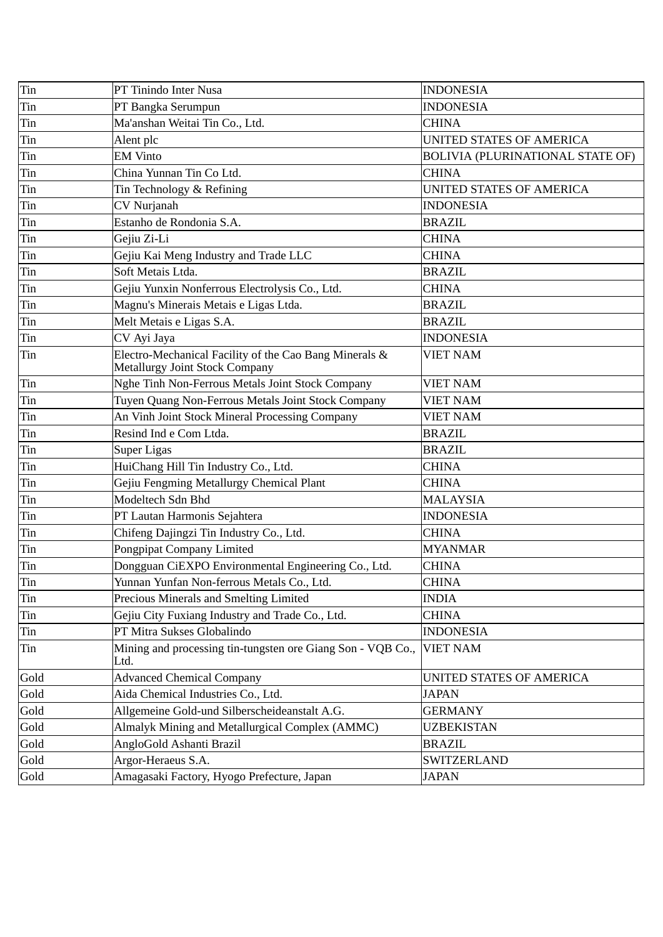| Tin  | PT Tinindo Inter Nusa                                                                           | <b>INDONESIA</b>                 |
|------|-------------------------------------------------------------------------------------------------|----------------------------------|
| Tin  | PT Bangka Serumpun                                                                              | <b>INDONESIA</b>                 |
| Tin  | Ma'anshan Weitai Tin Co., Ltd.                                                                  | <b>CHINA</b>                     |
| Tin  | Alent plc                                                                                       | UNITED STATES OF AMERICA         |
| Tin  | <b>EM Vinto</b>                                                                                 | BOLIVIA (PLURINATIONAL STATE OF) |
| Tin  | China Yunnan Tin Co Ltd.                                                                        | <b>CHINA</b>                     |
| Tin  | Tin Technology & Refining                                                                       | UNITED STATES OF AMERICA         |
| Tin  | <b>CV Nurjanah</b>                                                                              | <b>INDONESIA</b>                 |
| Tin  | Estanho de Rondonia S.A.                                                                        | <b>BRAZIL</b>                    |
| Tin  | Gejiu Zi-Li                                                                                     | <b>CHINA</b>                     |
| Tin  | Gejiu Kai Meng Industry and Trade LLC                                                           | <b>CHINA</b>                     |
| Tin  | Soft Metais Ltda.                                                                               | <b>BRAZIL</b>                    |
| Tin  | Gejiu Yunxin Nonferrous Electrolysis Co., Ltd.                                                  | <b>CHINA</b>                     |
| Tin  | Magnu's Minerais Metais e Ligas Ltda.                                                           | <b>BRAZIL</b>                    |
| Tin  | Melt Metais e Ligas S.A.                                                                        | <b>BRAZIL</b>                    |
| Tin  | CV Ayi Jaya                                                                                     | <b>INDONESIA</b>                 |
| Tin  | Electro-Mechanical Facility of the Cao Bang Minerals &<br><b>Metallurgy Joint Stock Company</b> | <b>VIET NAM</b>                  |
| Tin  | Nghe Tinh Non-Ferrous Metals Joint Stock Company                                                | <b>VIET NAM</b>                  |
| Tin  | Tuyen Quang Non-Ferrous Metals Joint Stock Company                                              | <b>VIET NAM</b>                  |
| Tin  | An Vinh Joint Stock Mineral Processing Company                                                  | <b>VIET NAM</b>                  |
| Tin  | Resind Ind e Com Ltda.                                                                          | <b>BRAZIL</b>                    |
| Tin  | <b>Super Ligas</b>                                                                              | <b>BRAZIL</b>                    |
| Tin  | HuiChang Hill Tin Industry Co., Ltd.                                                            | <b>CHINA</b>                     |
| Tin  | Gejiu Fengming Metallurgy Chemical Plant                                                        | <b>CHINA</b>                     |
| Tin  | Modeltech Sdn Bhd                                                                               | <b>MALAYSIA</b>                  |
| Tin  | PT Lautan Harmonis Sejahtera                                                                    | <b>INDONESIA</b>                 |
| Tin  | Chifeng Dajingzi Tin Industry Co., Ltd.                                                         | <b>CHINA</b>                     |
| Tin  | Pongpipat Company Limited                                                                       | <b>MYANMAR</b>                   |
| Tin  | Dongguan CiEXPO Environmental Engineering Co., Ltd.                                             | <b>CHINA</b>                     |
| Tin  | Yunnan Yunfan Non-ferrous Metals Co., Ltd.                                                      | <b>CHINA</b>                     |
| Tin  | Precious Minerals and Smelting Limited                                                          | <b>INDIA</b>                     |
| Tin  | Gejiu City Fuxiang Industry and Trade Co., Ltd.                                                 | <b>CHINA</b>                     |
| Tin  | PT Mitra Sukses Globalindo                                                                      | <b>INDONESIA</b>                 |
| Tin  | Mining and processing tin-tungsten ore Giang Son - VQB Co.,<br>Ltd.                             | <b>VIET NAM</b>                  |
| Gold | <b>Advanced Chemical Company</b>                                                                | UNITED STATES OF AMERICA         |
| Gold | Aida Chemical Industries Co., Ltd.                                                              | <b>JAPAN</b>                     |
| Gold | Allgemeine Gold-und Silberscheideanstalt A.G.                                                   | <b>GERMANY</b>                   |
| Gold | Almalyk Mining and Metallurgical Complex (AMMC)                                                 | <b>UZBEKISTAN</b>                |
| Gold | AngloGold Ashanti Brazil                                                                        | <b>BRAZIL</b>                    |
| Gold | Argor-Heraeus S.A.                                                                              | SWITZERLAND                      |
| Gold | Amagasaki Factory, Hyogo Prefecture, Japan                                                      | <b>JAPAN</b>                     |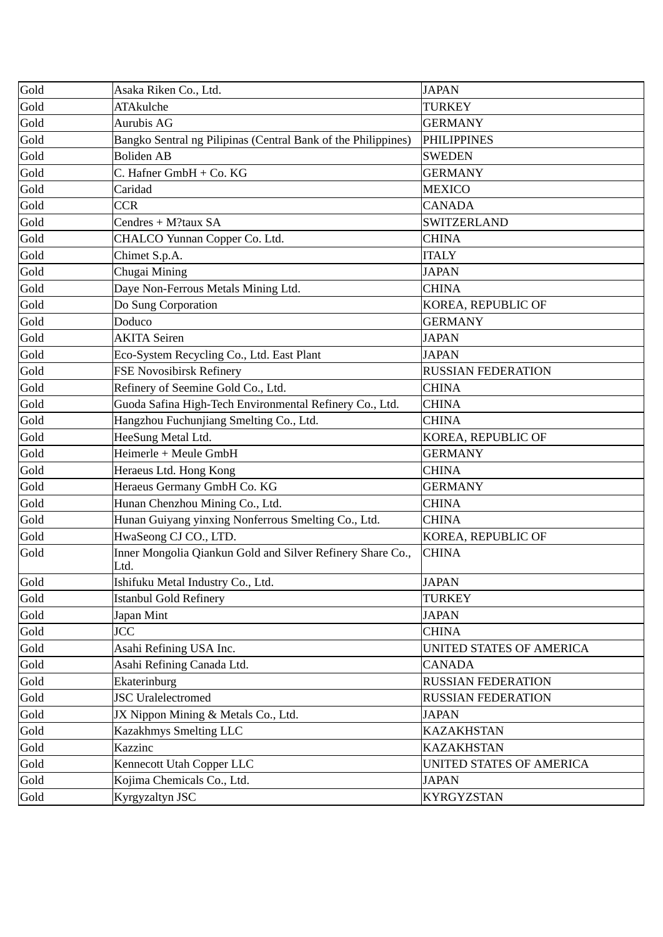| Gold | Asaka Riken Co., Ltd.                                              | <b>JAPAN</b>              |
|------|--------------------------------------------------------------------|---------------------------|
| Gold | <b>ATAkulche</b>                                                   | <b>TURKEY</b>             |
| Gold | <b>Aurubis AG</b>                                                  | <b>GERMANY</b>            |
| Gold | Bangko Sentral ng Pilipinas (Central Bank of the Philippines)      | <b>PHILIPPINES</b>        |
| Gold | <b>Boliden AB</b>                                                  | <b>SWEDEN</b>             |
| Gold | C. Hafner GmbH + Co. KG                                            | <b>GERMANY</b>            |
| Gold | Caridad                                                            | <b>MEXICO</b>             |
| Gold | <b>CCR</b>                                                         | <b>CANADA</b>             |
| Gold | Cendres + M?taux SA                                                | <b>SWITZERLAND</b>        |
| Gold | CHALCO Yunnan Copper Co. Ltd.                                      | <b>CHINA</b>              |
| Gold | Chimet S.p.A.                                                      | <b>ITALY</b>              |
| Gold | Chugai Mining                                                      | <b>JAPAN</b>              |
| Gold | Daye Non-Ferrous Metals Mining Ltd.                                | <b>CHINA</b>              |
| Gold | Do Sung Corporation                                                | KOREA, REPUBLIC OF        |
| Gold | Doduco                                                             | <b>GERMANY</b>            |
| Gold | <b>AKITA Seiren</b>                                                | <b>JAPAN</b>              |
| Gold | Eco-System Recycling Co., Ltd. East Plant                          | <b>JAPAN</b>              |
| Gold | <b>FSE Novosibirsk Refinery</b>                                    | <b>RUSSIAN FEDERATION</b> |
| Gold | Refinery of Seemine Gold Co., Ltd.                                 | <b>CHINA</b>              |
| Gold | Guoda Safina High-Tech Environmental Refinery Co., Ltd.            | <b>CHINA</b>              |
| Gold | Hangzhou Fuchunjiang Smelting Co., Ltd.                            | <b>CHINA</b>              |
| Gold | HeeSung Metal Ltd.                                                 | KOREA, REPUBLIC OF        |
| Gold | Heimerle + Meule GmbH                                              | <b>GERMANY</b>            |
| Gold | Heraeus Ltd. Hong Kong                                             | <b>CHINA</b>              |
| Gold | Heraeus Germany GmbH Co. KG                                        | <b>GERMANY</b>            |
| Gold | Hunan Chenzhou Mining Co., Ltd.                                    | <b>CHINA</b>              |
| Gold | Hunan Guiyang yinxing Nonferrous Smelting Co., Ltd.                | <b>CHINA</b>              |
| Gold | HwaSeong CJ CO., LTD.                                              | KOREA, REPUBLIC OF        |
| Gold | Inner Mongolia Qiankun Gold and Silver Refinery Share Co.,<br>Ltd. | <b>CHINA</b>              |
| Gold | Ishifuku Metal Industry Co., Ltd.                                  | <b>JAPAN</b>              |
| Gold | <b>Istanbul Gold Refinery</b>                                      | <b>TURKEY</b>             |
| Gold | Japan Mint                                                         | <b>JAPAN</b>              |
| Gold | <b>JCC</b>                                                         | <b>CHINA</b>              |
| Gold | Asahi Refining USA Inc.                                            | UNITED STATES OF AMERICA  |
| Gold | Asahi Refining Canada Ltd.                                         | <b>CANADA</b>             |
| Gold | Ekaterinburg                                                       | <b>RUSSIAN FEDERATION</b> |
| Gold | <b>JSC</b> Uralelectromed                                          | <b>RUSSIAN FEDERATION</b> |
| Gold | JX Nippon Mining & Metals Co., Ltd.                                | <b>JAPAN</b>              |
| Gold | Kazakhmys Smelting LLC                                             | <b>KAZAKHSTAN</b>         |
| Gold | Kazzinc                                                            | <b>KAZAKHSTAN</b>         |
| Gold | Kennecott Utah Copper LLC                                          | UNITED STATES OF AMERICA  |
| Gold | Kojima Chemicals Co., Ltd.                                         | <b>JAPAN</b>              |
| Gold | Kyrgyzaltyn JSC                                                    | <b>KYRGYZSTAN</b>         |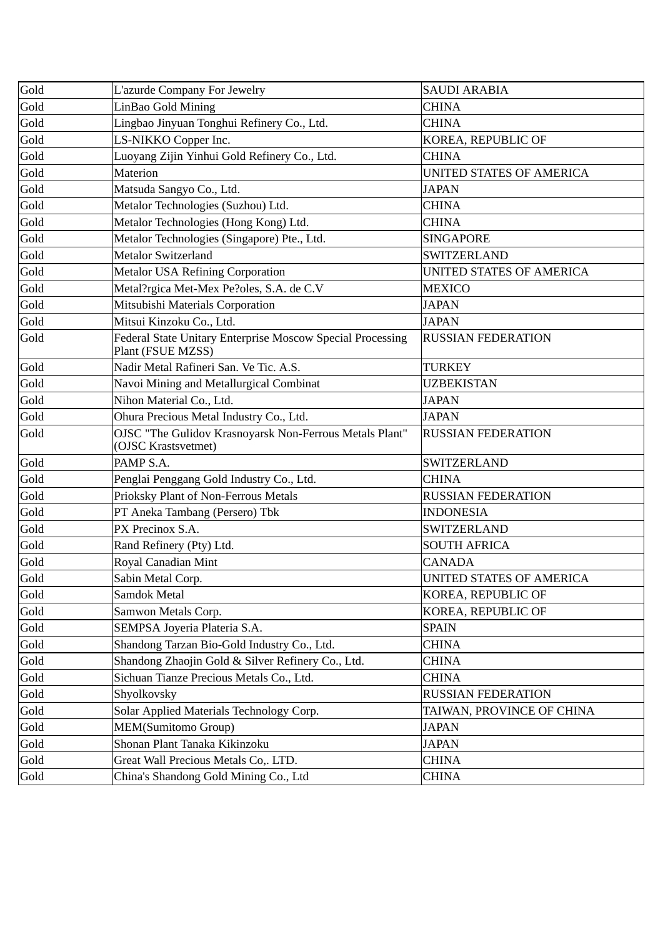| Gold | L'azurde Company For Jewelry                                                    | <b>SAUDI ARABIA</b>       |
|------|---------------------------------------------------------------------------------|---------------------------|
| Gold | LinBao Gold Mining                                                              | <b>CHINA</b>              |
| Gold | Lingbao Jinyuan Tonghui Refinery Co., Ltd.                                      | <b>CHINA</b>              |
| Gold | LS-NIKKO Copper Inc.                                                            | KOREA, REPUBLIC OF        |
| Gold | Luoyang Zijin Yinhui Gold Refinery Co., Ltd.                                    | <b>CHINA</b>              |
| Gold | <b>Materion</b>                                                                 | UNITED STATES OF AMERICA  |
| Gold | Matsuda Sangyo Co., Ltd.                                                        | <b>JAPAN</b>              |
| Gold | Metalor Technologies (Suzhou) Ltd.                                              | <b>CHINA</b>              |
| Gold | Metalor Technologies (Hong Kong) Ltd.                                           | <b>CHINA</b>              |
| Gold | Metalor Technologies (Singapore) Pte., Ltd.                                     | <b>SINGAPORE</b>          |
| Gold | <b>Metalor Switzerland</b>                                                      | <b>SWITZERLAND</b>        |
| Gold | <b>Metalor USA Refining Corporation</b>                                         | UNITED STATES OF AMERICA  |
| Gold | Metal?rgica Met-Mex Pe?oles, S.A. de C.V                                        | <b>MEXICO</b>             |
| Gold | Mitsubishi Materials Corporation                                                | <b>JAPAN</b>              |
| Gold | Mitsui Kinzoku Co., Ltd.                                                        | <b>JAPAN</b>              |
| Gold | Federal State Unitary Enterprise Moscow Special Processing<br>Plant (FSUE MZSS) | <b>RUSSIAN FEDERATION</b> |
| Gold | Nadir Metal Rafineri San. Ve Tic. A.S.                                          | <b>TURKEY</b>             |
| Gold | Navoi Mining and Metallurgical Combinat                                         | UZBEKISTAN                |
| Gold | Nihon Material Co., Ltd.                                                        | <b>JAPAN</b>              |
| Gold | Ohura Precious Metal Industry Co., Ltd.                                         | <b>JAPAN</b>              |
| Gold | OJSC "The Gulidov Krasnoyarsk Non-Ferrous Metals Plant"<br>(OJSC Krastsvetmet)  | <b>RUSSIAN FEDERATION</b> |
| Gold | PAMP S.A.                                                                       | <b>SWITZERLAND</b>        |
| Gold | Penglai Penggang Gold Industry Co., Ltd.                                        | <b>CHINA</b>              |
| Gold | Prioksky Plant of Non-Ferrous Metals                                            | <b>RUSSIAN FEDERATION</b> |
| Gold | PT Aneka Tambang (Persero) Tbk                                                  | <b>INDONESIA</b>          |
| Gold | PX Precinox S.A.                                                                | <b>SWITZERLAND</b>        |
| Gold | Rand Refinery (Pty) Ltd.                                                        | <b>SOUTH AFRICA</b>       |
| Gold | Royal Canadian Mint                                                             | <b>CANADA</b>             |
| Gold | Sabin Metal Corp.                                                               | UNITED STATES OF AMERICA  |
| Gold | Samdok Metal                                                                    | KOREA, REPUBLIC OF        |
| Gold | Samwon Metals Corp.                                                             | KOREA, REPUBLIC OF        |
| Gold | SEMPSA Joyeria Plateria S.A.                                                    | <b>SPAIN</b>              |
| Gold | Shandong Tarzan Bio-Gold Industry Co., Ltd.                                     | CHINA                     |
| Gold | Shandong Zhaojin Gold & Silver Refinery Co., Ltd.                               | <b>CHINA</b>              |
| Gold | Sichuan Tianze Precious Metals Co., Ltd.                                        | <b>CHINA</b>              |
| Gold | Shyolkovsky                                                                     | <b>RUSSIAN FEDERATION</b> |
| Gold | Solar Applied Materials Technology Corp.                                        | TAIWAN, PROVINCE OF CHINA |
| Gold | MEM(Sumitomo Group)                                                             | <b>JAPAN</b>              |
| Gold | Shonan Plant Tanaka Kikinzoku                                                   | <b>JAPAN</b>              |
| Gold | Great Wall Precious Metals Co,. LTD.                                            | <b>CHINA</b>              |
| Gold | China's Shandong Gold Mining Co., Ltd                                           | <b>CHINA</b>              |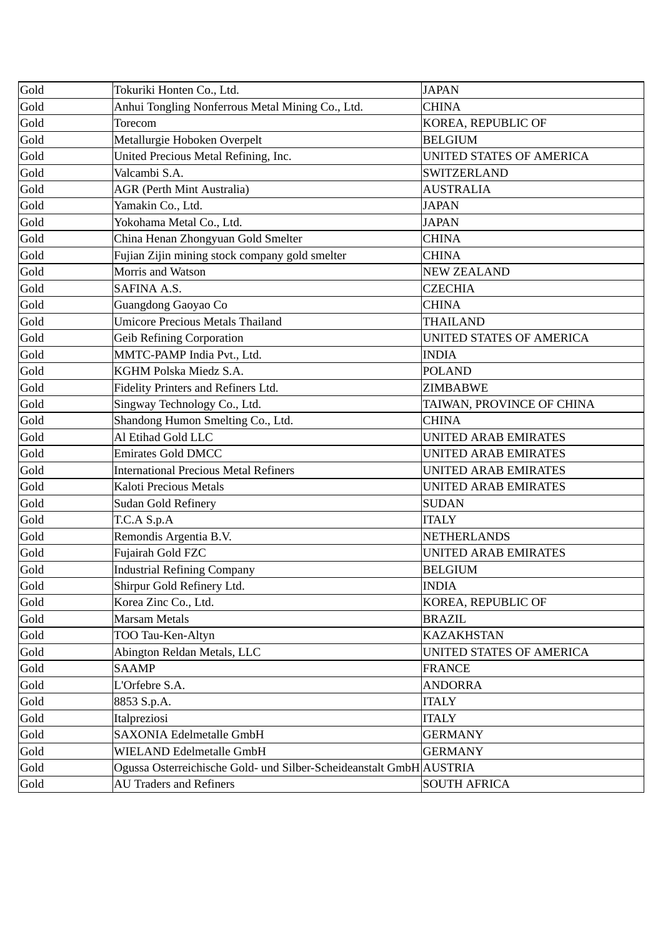| Gold | Tokuriki Honten Co., Ltd.                                           | <b>JAPAN</b>                |
|------|---------------------------------------------------------------------|-----------------------------|
| Gold | Anhui Tongling Nonferrous Metal Mining Co., Ltd.                    | <b>CHINA</b>                |
| Gold | Torecom                                                             | KOREA, REPUBLIC OF          |
| Gold | Metallurgie Hoboken Overpelt                                        | <b>BELGIUM</b>              |
| Gold | United Precious Metal Refining, Inc.                                | UNITED STATES OF AMERICA    |
| Gold | Valcambi S.A.                                                       | <b>SWITZERLAND</b>          |
| Gold | <b>AGR (Perth Mint Australia)</b>                                   | <b>AUSTRALIA</b>            |
| Gold | Yamakin Co., Ltd.                                                   | <b>JAPAN</b>                |
| Gold | Yokohama Metal Co., Ltd.                                            | <b>JAPAN</b>                |
| Gold | China Henan Zhongyuan Gold Smelter                                  | <b>CHINA</b>                |
| Gold | Fujian Zijin mining stock company gold smelter                      | <b>CHINA</b>                |
| Gold | Morris and Watson                                                   | <b>NEW ZEALAND</b>          |
| Gold | <b>SAFINA A.S.</b>                                                  | <b>CZECHIA</b>              |
| Gold | Guangdong Gaoyao Co                                                 | <b>CHINA</b>                |
| Gold | <b>Umicore Precious Metals Thailand</b>                             | <b>THAILAND</b>             |
| Gold | <b>Geib Refining Corporation</b>                                    | UNITED STATES OF AMERICA    |
| Gold | MMTC-PAMP India Pvt., Ltd.                                          | <b>INDIA</b>                |
| Gold | KGHM Polska Miedz S.A.                                              | <b>POLAND</b>               |
| Gold | Fidelity Printers and Refiners Ltd.                                 | <b>ZIMBABWE</b>             |
| Gold | Singway Technology Co., Ltd.                                        | TAIWAN, PROVINCE OF CHINA   |
| Gold | Shandong Humon Smelting Co., Ltd.                                   | <b>CHINA</b>                |
| Gold | Al Etihad Gold LLC                                                  | UNITED ARAB EMIRATES        |
| Gold | <b>Emirates Gold DMCC</b>                                           | <b>UNITED ARAB EMIRATES</b> |
| Gold | <b>International Precious Metal Refiners</b>                        | <b>UNITED ARAB EMIRATES</b> |
| Gold | <b>Kaloti Precious Metals</b>                                       | <b>UNITED ARAB EMIRATES</b> |
| Gold | <b>Sudan Gold Refinery</b>                                          | <b>SUDAN</b>                |
| Gold | T.C.A S.p.A                                                         | <b>ITALY</b>                |
| Gold | Remondis Argentia B.V.                                              | <b>NETHERLANDS</b>          |
| Gold | Fujairah Gold FZC                                                   | <b>UNITED ARAB EMIRATES</b> |
| Gold | <b>Industrial Refining Company</b>                                  | <b>BELGIUM</b>              |
| Gold | Shirpur Gold Refinery Ltd.                                          | <b>INDIA</b>                |
| Gold | Korea Zinc Co., Ltd.                                                | KOREA, REPUBLIC OF          |
| Gold | <b>Marsam Metals</b>                                                | <b>BRAZIL</b>               |
| Gold | TOO Tau-Ken-Altyn                                                   | <b>KAZAKHSTAN</b>           |
| Gold | Abington Reldan Metals, LLC                                         | UNITED STATES OF AMERICA    |
| Gold | <b>SAAMP</b>                                                        | <b>FRANCE</b>               |
| Gold | L'Orfebre S.A.                                                      | <b>ANDORRA</b>              |
| Gold | 8853 S.p.A.                                                         | <b>ITALY</b>                |
| Gold | Italpreziosi                                                        | <b>ITALY</b>                |
| Gold | <b>SAXONIA Edelmetalle GmbH</b>                                     | <b>GERMANY</b>              |
| Gold | WIELAND Edelmetalle GmbH                                            | <b>GERMANY</b>              |
| Gold | Ogussa Osterreichische Gold- und Silber-Scheideanstalt GmbH AUSTRIA |                             |
| Gold | <b>AU Traders and Refiners</b>                                      | <b>SOUTH AFRICA</b>         |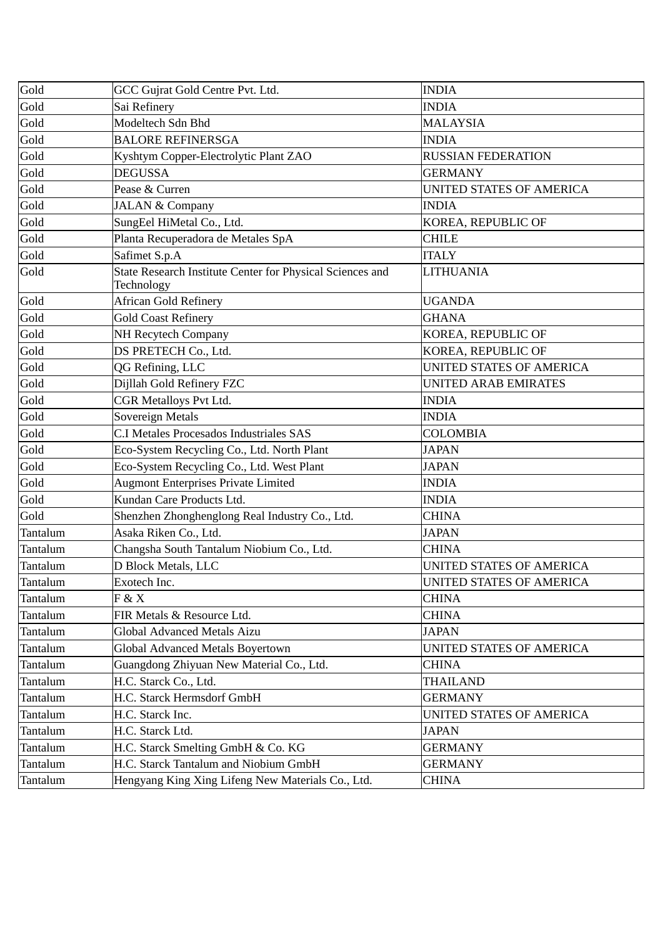| Gold     | GCC Gujrat Gold Centre Pvt. Ltd.                                        | <b>INDIA</b>                    |
|----------|-------------------------------------------------------------------------|---------------------------------|
| Gold     | Sai Refinery                                                            | <b>INDIA</b>                    |
| Gold     | Modeltech Sdn Bhd                                                       | <b>MALAYSIA</b>                 |
| Gold     | <b>BALORE REFINERSGA</b>                                                | <b>INDIA</b>                    |
| Gold     | Kyshtym Copper-Electrolytic Plant ZAO                                   | <b>RUSSIAN FEDERATION</b>       |
| Gold     | <b>DEGUSSA</b>                                                          | <b>GERMANY</b>                  |
| Gold     | Pease & Curren                                                          | UNITED STATES OF AMERICA        |
| Gold     | <b>JALAN &amp; Company</b>                                              | <b>INDIA</b>                    |
| Gold     | SungEel HiMetal Co., Ltd.                                               | KOREA, REPUBLIC OF              |
| Gold     | Planta Recuperadora de Metales SpA                                      | <b>CHILE</b>                    |
| Gold     | Safimet S.p.A                                                           | <b>ITALY</b>                    |
| Gold     | State Research Institute Center for Physical Sciences and<br>Technology | <b>LITHUANIA</b>                |
| Gold     | <b>African Gold Refinery</b>                                            | <b>UGANDA</b>                   |
| Gold     | <b>Gold Coast Refinery</b>                                              | <b>GHANA</b>                    |
| Gold     | <b>NH Recytech Company</b>                                              | KOREA, REPUBLIC OF              |
| Gold     | DS PRETECH Co., Ltd.                                                    | KOREA, REPUBLIC OF              |
| Gold     | QG Refining, LLC                                                        | <b>UNITED STATES OF AMERICA</b> |
| Gold     | Dijllah Gold Refinery FZC                                               | <b>UNITED ARAB EMIRATES</b>     |
| Gold     | <b>CGR Metalloys Pvt Ltd.</b>                                           | <b>INDIA</b>                    |
| Gold     | Sovereign Metals                                                        | <b>INDIA</b>                    |
| Gold     | <b>C.I Metales Procesados Industriales SAS</b>                          | <b>COLOMBIA</b>                 |
| Gold     | Eco-System Recycling Co., Ltd. North Plant                              | <b>JAPAN</b>                    |
| Gold     | Eco-System Recycling Co., Ltd. West Plant                               | <b>JAPAN</b>                    |
| Gold     | <b>Augmont Enterprises Private Limited</b>                              | <b>INDIA</b>                    |
| Gold     | Kundan Care Products Ltd.                                               | <b>INDIA</b>                    |
| Gold     | Shenzhen Zhonghenglong Real Industry Co., Ltd.                          | <b>CHINA</b>                    |
| Tantalum | Asaka Riken Co., Ltd.                                                   | <b>JAPAN</b>                    |
| Tantalum | Changsha South Tantalum Niobium Co., Ltd.                               | <b>CHINA</b>                    |
| Tantalum | D Block Metals, LLC                                                     | UNITED STATES OF AMERICA        |
| Tantalum | Exotech Inc.                                                            | UNITED STATES OF AMERICA        |
| Tantalum | F & X                                                                   | CHINA                           |
| Tantalum | FIR Metals & Resource Ltd.                                              | <b>CHINA</b>                    |
| Tantalum | <b>Global Advanced Metals Aizu</b>                                      | <b>JAPAN</b>                    |
| Tantalum | Global Advanced Metals Boyertown                                        | UNITED STATES OF AMERICA        |
| Tantalum | Guangdong Zhiyuan New Material Co., Ltd.                                | CHINA                           |
| Tantalum | H.C. Starck Co., Ltd.                                                   | <b>THAILAND</b>                 |
| Tantalum | H.C. Starck Hermsdorf GmbH                                              | GERMANY                         |
| Tantalum | H.C. Starck Inc.                                                        | UNITED STATES OF AMERICA        |
| Tantalum | H.C. Starck Ltd.                                                        | <b>JAPAN</b>                    |
| Tantalum | H.C. Starck Smelting GmbH & Co. KG                                      | <b>GERMANY</b>                  |
| Tantalum | H.C. Starck Tantalum and Niobium GmbH                                   | <b>GERMANY</b>                  |
| Tantalum | Hengyang King Xing Lifeng New Materials Co., Ltd.                       | <b>CHINA</b>                    |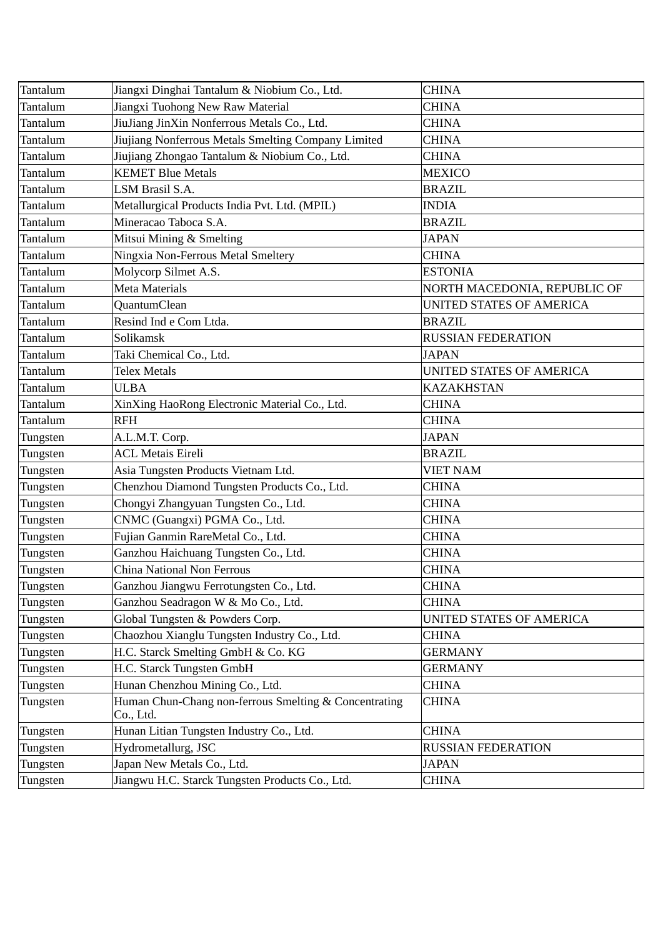| Tantalum | Jiangxi Dinghai Tantalum & Niobium Co., Ltd.                       | <b>CHINA</b>                    |
|----------|--------------------------------------------------------------------|---------------------------------|
| Tantalum | Jiangxi Tuohong New Raw Material                                   | <b>CHINA</b>                    |
| Tantalum | JiuJiang JinXin Nonferrous Metals Co., Ltd.                        | <b>CHINA</b>                    |
| Tantalum | Jiujiang Nonferrous Metals Smelting Company Limited                | <b>CHINA</b>                    |
| Tantalum | Jiujiang Zhongao Tantalum & Niobium Co., Ltd.                      | <b>CHINA</b>                    |
| Tantalum | <b>KEMET Blue Metals</b>                                           | <b>MEXICO</b>                   |
| Tantalum | LSM Brasil S.A.                                                    | <b>BRAZIL</b>                   |
| Tantalum | Metallurgical Products India Pvt. Ltd. (MPIL)                      | <b>INDIA</b>                    |
| Tantalum | Mineracao Taboca S.A.                                              | <b>BRAZIL</b>                   |
| Tantalum | Mitsui Mining & Smelting                                           | <b>JAPAN</b>                    |
| Tantalum | Ningxia Non-Ferrous Metal Smeltery                                 | <b>CHINA</b>                    |
| Tantalum | Molycorp Silmet A.S.                                               | <b>ESTONIA</b>                  |
| Tantalum | Meta Materials                                                     | NORTH MACEDONIA, REPUBLIC OF    |
| Tantalum | QuantumClean                                                       | <b>UNITED STATES OF AMERICA</b> |
| Tantalum | Resind Ind e Com Ltda.                                             | <b>BRAZIL</b>                   |
| Tantalum | Solikamsk                                                          | <b>RUSSIAN FEDERATION</b>       |
| Tantalum | Taki Chemical Co., Ltd.                                            | <b>JAPAN</b>                    |
| Tantalum | <b>Telex Metals</b>                                                | UNITED STATES OF AMERICA        |
| Tantalum | <b>ULBA</b>                                                        | <b>KAZAKHSTAN</b>               |
| Tantalum | XinXing HaoRong Electronic Material Co., Ltd.                      | <b>CHINA</b>                    |
| Tantalum | <b>RFH</b>                                                         | <b>CHINA</b>                    |
| Tungsten | A.L.M.T. Corp.                                                     | <b>JAPAN</b>                    |
| Tungsten | <b>ACL Metais Eireli</b>                                           | <b>BRAZIL</b>                   |
| Tungsten | Asia Tungsten Products Vietnam Ltd.                                | <b>VIET NAM</b>                 |
| Tungsten | Chenzhou Diamond Tungsten Products Co., Ltd.                       | <b>CHINA</b>                    |
| Tungsten | Chongyi Zhangyuan Tungsten Co., Ltd.                               | <b>CHINA</b>                    |
| Tungsten | CNMC (Guangxi) PGMA Co., Ltd.                                      | <b>CHINA</b>                    |
| Tungsten | Fujian Ganmin RareMetal Co., Ltd.                                  | <b>CHINA</b>                    |
| Tungsten | Ganzhou Haichuang Tungsten Co., Ltd.                               | <b>CHINA</b>                    |
| Tungsten | <b>China National Non Ferrous</b>                                  | <b>CHINA</b>                    |
| Tungsten | Ganzhou Jiangwu Ferrotungsten Co., Ltd.                            | <b>CHINA</b>                    |
| Tungsten | Ganzhou Seadragon W & Mo Co., Ltd.                                 | <b>CHINA</b>                    |
| Tungsten | Global Tungsten & Powders Corp.                                    | UNITED STATES OF AMERICA        |
| Tungsten | Chaozhou Xianglu Tungsten Industry Co., Ltd.                       | CHINA                           |
| Tungsten | H.C. Starck Smelting GmbH & Co. KG                                 | GERMANY                         |
| Tungsten | H.C. Starck Tungsten GmbH                                          | GERMANY                         |
| Tungsten | Hunan Chenzhou Mining Co., Ltd.                                    | <b>CHINA</b>                    |
| Tungsten | Human Chun-Chang non-ferrous Smelting & Concentrating<br>Co., Ltd. | <b>CHINA</b>                    |
| Tungsten | Hunan Litian Tungsten Industry Co., Ltd.                           | <b>CHINA</b>                    |
| Tungsten | Hydrometallurg, JSC                                                | <b>RUSSIAN FEDERATION</b>       |
| Tungsten | Japan New Metals Co., Ltd.                                         | JAPAN                           |
| Tungsten | Jiangwu H.C. Starck Tungsten Products Co., Ltd.                    | <b>CHINA</b>                    |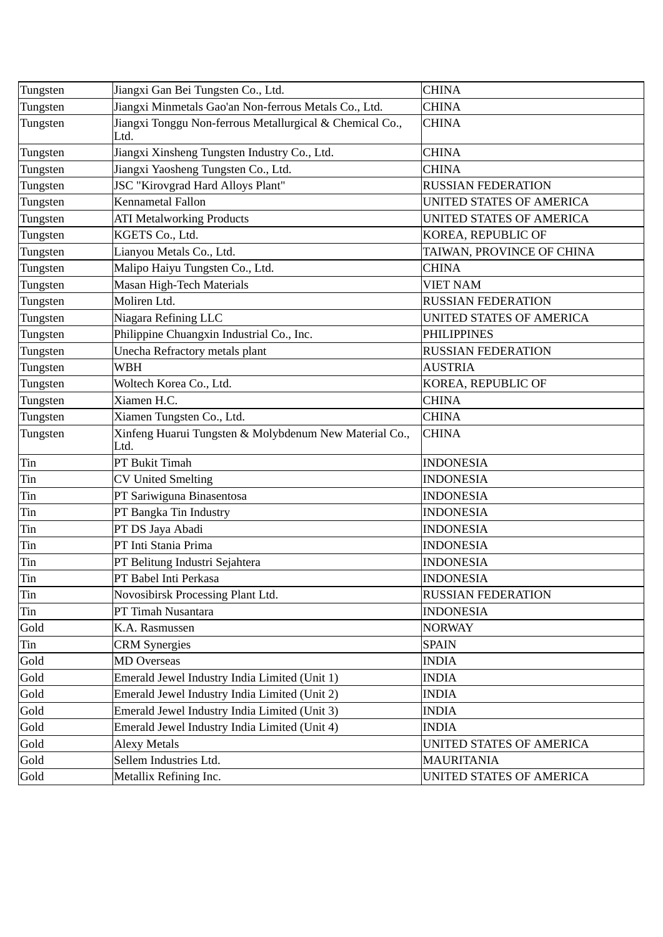| Tungsten | Jiangxi Gan Bei Tungsten Co., Ltd.                               | <b>CHINA</b>                    |
|----------|------------------------------------------------------------------|---------------------------------|
| Tungsten | Jiangxi Minmetals Gao'an Non-ferrous Metals Co., Ltd.            | <b>CHINA</b>                    |
| Tungsten | Jiangxi Tonggu Non-ferrous Metallurgical & Chemical Co.,<br>Ltd. | <b>CHINA</b>                    |
| Tungsten | Jiangxi Xinsheng Tungsten Industry Co., Ltd.                     | <b>CHINA</b>                    |
| Tungsten | Jiangxi Yaosheng Tungsten Co., Ltd.                              | <b>CHINA</b>                    |
| Tungsten | JSC "Kirovgrad Hard Alloys Plant"                                | <b>RUSSIAN FEDERATION</b>       |
| Tungsten | Kennametal Fallon                                                | <b>UNITED STATES OF AMERICA</b> |
| Tungsten | <b>ATI Metalworking Products</b>                                 | UNITED STATES OF AMERICA        |
| Tungsten | KGETS Co., Ltd.                                                  | KOREA, REPUBLIC OF              |
| Tungsten | Lianyou Metals Co., Ltd.                                         | TAIWAN, PROVINCE OF CHINA       |
| Tungsten | Malipo Haiyu Tungsten Co., Ltd.                                  | <b>CHINA</b>                    |
| Tungsten | Masan High-Tech Materials                                        | <b>VIET NAM</b>                 |
| Tungsten | Moliren Ltd.                                                     | <b>RUSSIAN FEDERATION</b>       |
| Tungsten | Niagara Refining LLC                                             | UNITED STATES OF AMERICA        |
| Tungsten | Philippine Chuangxin Industrial Co., Inc.                        | <b>PHILIPPINES</b>              |
| Tungsten | Unecha Refractory metals plant                                   | <b>RUSSIAN FEDERATION</b>       |
| Tungsten | <b>WBH</b>                                                       | <b>AUSTRIA</b>                  |
| Tungsten | Woltech Korea Co., Ltd.                                          | KOREA, REPUBLIC OF              |
| Tungsten | Xiamen H.C.                                                      | <b>CHINA</b>                    |
| Tungsten | Xiamen Tungsten Co., Ltd.                                        | <b>CHINA</b>                    |
| Tungsten | Xinfeng Huarui Tungsten & Molybdenum New Material Co.,<br>Ltd.   | <b>CHINA</b>                    |
| Tin      | PT Bukit Timah                                                   | <b>INDONESIA</b>                |
| Tin      | <b>CV United Smelting</b>                                        | <b>INDONESIA</b>                |
| Tin      | PT Sariwiguna Binasentosa                                        | <b>INDONESIA</b>                |
| Tin      | PT Bangka Tin Industry                                           | <b>INDONESIA</b>                |
| Tin      | PT DS Jaya Abadi                                                 | <b>INDONESIA</b>                |
| Tin      | PT Inti Stania Prima                                             | <b>INDONESIA</b>                |
| Tin      | PT Belitung Industri Sejahtera                                   | <b>INDONESIA</b>                |
| Tin      | PT Babel Inti Perkasa                                            | <b>INDONESIA</b>                |
| Tin      | Novosibirsk Processing Plant Ltd.                                | RUSSIAN FEDERATION              |
| Tin      | PT Timah Nusantara                                               | <b>INDONESIA</b>                |
| Gold     | K.A. Rasmussen                                                   | <b>NORWAY</b>                   |
| Tin      | <b>CRM Synergies</b>                                             | <b>SPAIN</b>                    |
| Gold     | <b>MD</b> Overseas                                               | <b>INDIA</b>                    |
| Gold     | Emerald Jewel Industry India Limited (Unit 1)                    | INDIA                           |
| Gold     | Emerald Jewel Industry India Limited (Unit 2)                    | <b>INDIA</b>                    |
| Gold     | Emerald Jewel Industry India Limited (Unit 3)                    | INDIA                           |
| Gold     | Emerald Jewel Industry India Limited (Unit 4)                    | INDIA                           |
| Gold     | <b>Alexy Metals</b>                                              | UNITED STATES OF AMERICA        |
| Gold     | Sellem Industries Ltd.                                           | <b>MAURITANIA</b>               |
| Gold     | Metallix Refining Inc.                                           | UNITED STATES OF AMERICA        |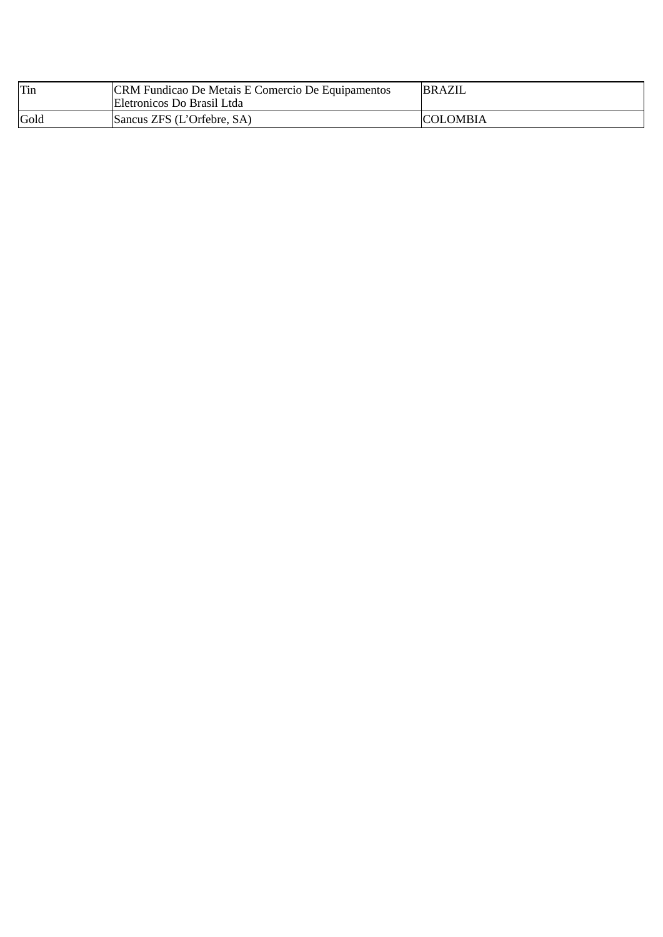| Tin  | CRM Fundicao De Metais E Comercio De Equipamentos<br>Eletronicos Do Brasil Ltda | BRAZIL          |
|------|---------------------------------------------------------------------------------|-----------------|
| Gold | Sancus ZFS (L'Orfebre, SA)                                                      | <b>COLOMBIA</b> |